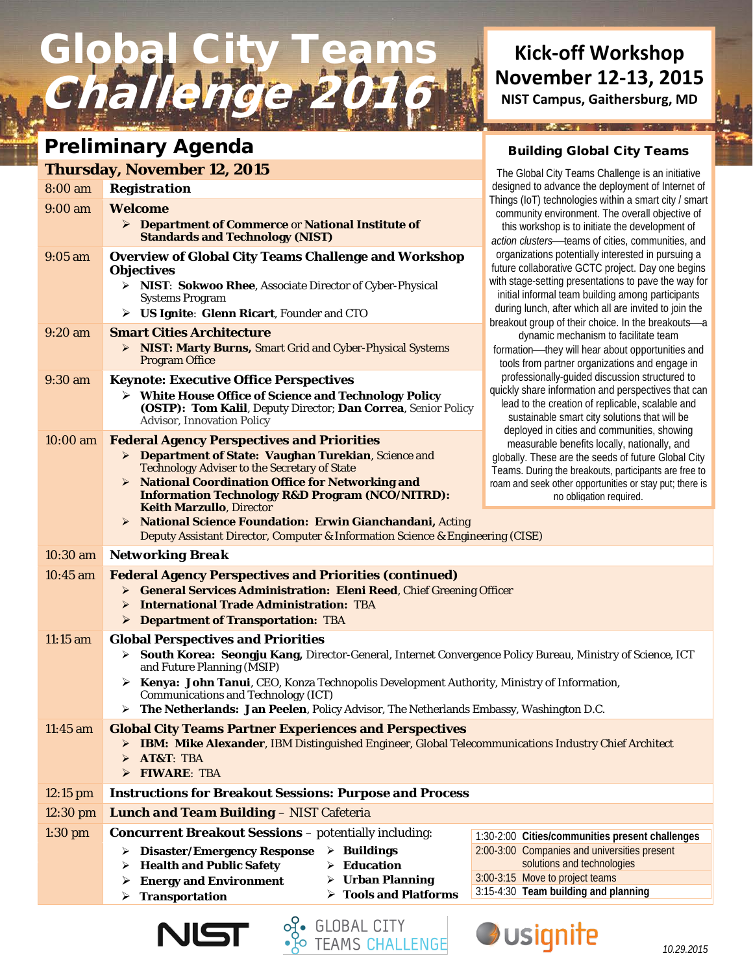# Global City Teams Chal

### Preliminary Agenda

### **Thursday, November 12, 2015**

| 8:00 am    | <b>Registration</b>                                                                                                                                         | The Global Oily Teams Onalidity is an imitative<br>designed to advance the deployment of Internet of                                                                                                   |
|------------|-------------------------------------------------------------------------------------------------------------------------------------------------------------|--------------------------------------------------------------------------------------------------------------------------------------------------------------------------------------------------------|
| 9:00 am    | <b>Welcome</b>                                                                                                                                              | Things (IoT) technologies within a smart city / sma                                                                                                                                                    |
|            | > Department of Commerce or National Institute of                                                                                                           | community environment. The overall objective of                                                                                                                                                        |
|            | <b>Standards and Technology (NIST)</b>                                                                                                                      | this workshop is to initiate the development of<br>action clusters-teams of cities, communities, an                                                                                                    |
| $9:05$ am  | <b>Overview of Global City Teams Challenge and Workshop</b><br><b>Objectives</b>                                                                            | organizations potentially interested in pursuing a<br>future collaborative GCTC project. Day one begin<br>with stage-setting presentations to pave the way fo                                          |
|            | > NIST: Sokwoo Rhee, Associate Director of Cyber-Physical<br><b>Systems Program</b>                                                                         | initial informal team building among participants                                                                                                                                                      |
|            | $\triangleright$ US Ignite: Glenn Ricart, Founder and CTO                                                                                                   | during lunch, after which all are invited to join the<br>breakout group of their choice. In the breakouts-                                                                                             |
| $9:20$ am  | <b>Smart Cities Architecture</b><br>> NIST: Marty Burns, Smart Grid and Cyber-Physical Systems<br><b>Program Office</b>                                     | dynamic mechanism to facilitate team<br>formation-they will hear about opportunities and<br>tools from partner organizations and engage in                                                             |
| $9:30$ am  | <b>Keynote: Executive Office Perspectives</b>                                                                                                               | professionally-guided discussion structured to                                                                                                                                                         |
|            | > White House Office of Science and Technology Policy<br>(OSTP): Tom Kalil, Deputy Director; Dan Correa, Senior Policy<br><b>Advisor, Innovation Policy</b> | quickly share information and perspectives that ca<br>lead to the creation of replicable, scalable and<br>sustainable smart city solutions that will be<br>deployed in cities and communities, showing |
| $10:00$ am | <b>Federal Agency Perspectives and Priorities</b>                                                                                                           | measurable benefits locally, nationally, and                                                                                                                                                           |
|            | > Department of State: Vaughan Turekian, Science and<br><b>Technology Adviser to the Secretary of State</b>                                                 | globally. These are the seeds of future Global Cit<br>Teams. During the breakouts, participants are free t                                                                                             |
|            | > National Coordination Office for Networking and                                                                                                           | roam and seek other opportunities or stay put; there                                                                                                                                                   |
|            | <b>Information Technology R&amp;D Program (NCO/NITRD):</b><br><b>Keith Marzullo, Director</b>                                                               | no obligation required.                                                                                                                                                                                |
|            | > National Science Foundation: Erwin Gianchandani, Acting                                                                                                   |                                                                                                                                                                                                        |
|            | Deputy Assistant Director, Computer & Information Science & Engineering (CISE)                                                                              |                                                                                                                                                                                                        |
| $10:30$ am | <b>Networking Break</b>                                                                                                                                     |                                                                                                                                                                                                        |
| 10:45 am   | <b>Federal Agency Perspectives and Priorities (continued)</b>                                                                                               |                                                                                                                                                                                                        |
|            | <b>General Services Administration: Eleni Reed, Chief Greening Officer</b><br>➤<br><b>International Trade Administration: TBA</b>                           |                                                                                                                                                                                                        |
|            | ➤<br><b>EXAMPLE PERITM DEPARTMENT PRA</b>                                                                                                                   |                                                                                                                                                                                                        |
| 11:15 am   | <b>Global Perspectives and Priorities</b>                                                                                                                   |                                                                                                                                                                                                        |
|            | > South Korea: Seongju Kang, Director-General, Internet Convergence Policy Bureau, Ministry of Science, ICT<br>and Future Planning (MSIP)                   |                                                                                                                                                                                                        |
|            | > Kenya: John Tanui, CEO, Konza Technopolis Development Authority, Ministry of Information,<br><b>Communications and Technology (ICT)</b>                   |                                                                                                                                                                                                        |
|            | $\triangleright$ The Netherlands: Jan Peelen, Policy Advisor, The Netherlands Embassy, Washington D.C.                                                      |                                                                                                                                                                                                        |
| 11:45 am   | <b>Global City Teams Partner Experiences and Perspectives</b>                                                                                               |                                                                                                                                                                                                        |
|            | > IBM: Mike Alexander, IBM Distinguished Engineer, Global Telecommunications Industry Chief Architect<br><b>AT&amp;T: TBA</b><br>⋗<br>> FIWARE: TBA         |                                                                                                                                                                                                        |
| $12:15$ pm | <b>Instructions for Breakout Sessions: Purpose and Process</b>                                                                                              |                                                                                                                                                                                                        |
| $12:30$ pm | <b>Lunch and Team Building - NIST Cafeteria</b>                                                                                                             |                                                                                                                                                                                                        |
| $1:30$ pm  | <b>Concurrent Breakout Sessions - potentially including:</b>                                                                                                | 1:30-2:00 Cities/communities present challenges                                                                                                                                                        |
|            | <b>Disaster/Emergency Response</b><br>$\triangleright$ Buildings<br>➤                                                                                       | 2:00-3:00 Companies and universities present                                                                                                                                                           |
|            | $\triangleright$ Education<br><b>Health and Public Safety</b><br>➤<br>$\triangleright$ Urban Planning                                                       | solutions and technologies<br>3:00-3:15 Move to project teams                                                                                                                                          |
|            | <b>Energy and Environment</b><br>➤<br>$\triangleright$ Tools and Platforms<br><b>Transportation</b><br>➤                                                    | 3:15-4:30 Team building and planning                                                                                                                                                                   |
|            |                                                                                                                                                             |                                                                                                                                                                                                        |

GLOBAL CITY<br>TEAMS CHALLENGE



## **Kick-off Workshop November 12-13, 2015**

**NIST Campus, Gaithersburg, MD**

#### Building Global City Teams

はんぶつれ

The Global City Teams Challenge is an initiative e deployment of Internet of s within a smart city / smart nt. The overall objective of